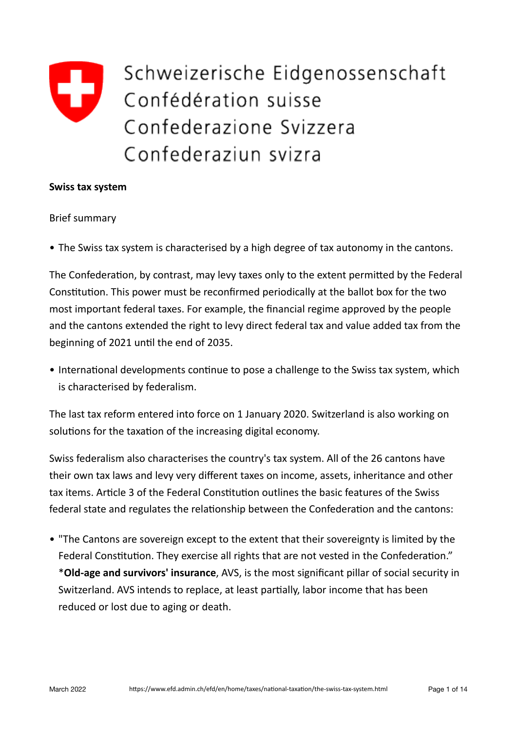# Schweizerische Eidgenossenschaft Confédération suisse Confederazione Svizzera Confederaziun svizra

#### **Swiss tax system**

#### **Brief summary**

• The Swiss tax system is characterised by a high degree of tax autonomy in the cantons.

The Confederation, by contrast, may levy taxes only to the extent permitted by the Federal Constitution. This power must be reconfirmed periodically at the ballot box for the two most important federal taxes. For example, the financial regime approved by the people and the cantons extended the right to levy direct federal tax and value added tax from the beginning of 2021 until the end of 2035.

• International developments continue to pose a challenge to the Swiss tax system, which is characterised by federalism.

The last tax reform entered into force on 1 January 2020. Switzerland is also working on solutions for the taxation of the increasing digital economy.

Swiss federalism also characterises the country's tax system. All of the 26 cantons have their own tax laws and levy very different taxes on income, assets, inheritance and other tax items. Article 3 of the Federal Constitution outlines the basic features of the Swiss federal state and regulates the relationship between the Confederation and the cantons:

• "The Cantons are sovereign except to the extent that their sovereignty is limited by the Federal Constitution. They exercise all rights that are not vested in the Confederation." \***Old-age and survivors' insurance**, AVS, is the most significant pillar of social security in Switzerland. AVS intends to replace, at least partially, labor income that has been reduced or lost due to aging or death.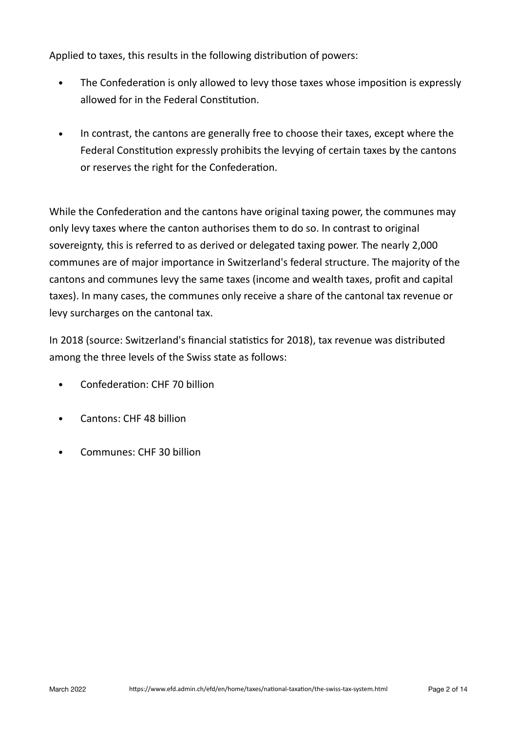Applied to taxes, this results in the following distribution of powers:

- The Confederation is only allowed to levy those taxes whose imposition is expressly allowed for in the Federal Constitution.
- In contrast, the cantons are generally free to choose their taxes, except where the Federal Constitution expressly prohibits the levying of certain taxes by the cantons or reserves the right for the Confederation.

While the Confederation and the cantons have original taxing power, the communes may only levy taxes where the canton authorises them to do so. In contrast to original sovereignty, this is referred to as derived or delegated taxing power. The nearly 2,000 communes are of major importance in Switzerland's federal structure. The majority of the cantons and communes levy the same taxes (income and wealth taxes, profit and capital taxes). In many cases, the communes only receive a share of the cantonal tax revenue or levy surcharges on the cantonal tax.

In 2018 (source: Switzerland's financial statistics for 2018), tax revenue was distributed among the three levels of the Swiss state as follows:

- Confederation: CHF 70 billion
- Cantons: CHF 48 billion
- Communes: CHF 30 billion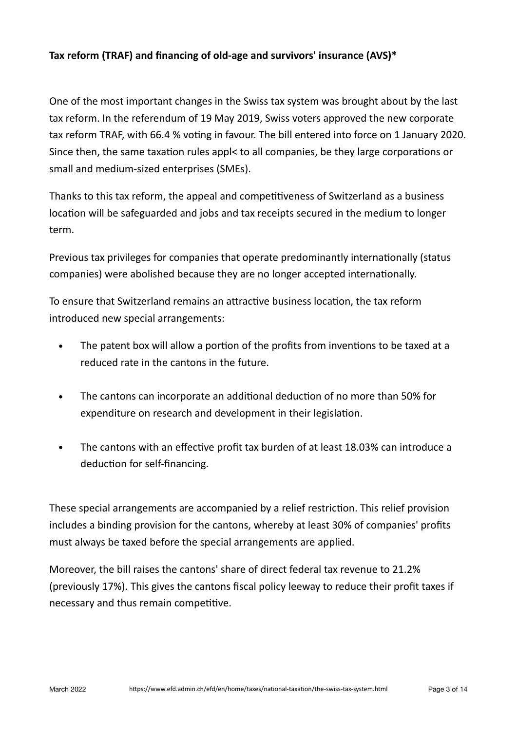# **Tax reform (TRAF) and financing of old-age and survivors' insurance (AVS)\***

One of the most important changes in the Swiss tax system was brought about by the last tax reform. In the referendum of 19 May 2019, Swiss voters approved the new corporate tax reform TRAF, with 66.4 % voting in favour. The bill entered into force on 1 January 2020. Since then, the same taxation rules appl< to all companies, be they large corporations or small and medium-sized enterprises (SMEs).

Thanks to this tax reform, the appeal and competitiveness of Switzerland as a business location will be safeguarded and jobs and tax receipts secured in the medium to longer term.

Previous tax privileges for companies that operate predominantly internationally (status companies) were abolished because they are no longer accepted internationally.

To ensure that Switzerland remains an attractive business location, the tax reform introduced new special arrangements:

- The patent box will allow a portion of the profits from inventions to be taxed at a reduced rate in the cantons in the future.
- The cantons can incorporate an additional deduction of no more than 50% for expenditure on research and development in their legislation.
- The cantons with an effective profit tax burden of at least 18.03% can introduce a deduction for self-financing.

These special arrangements are accompanied by a relief restriction. This relief provision includes a binding provision for the cantons, whereby at least 30% of companies' profits must always be taxed before the special arrangements are applied.

Moreover, the bill raises the cantons' share of direct federal tax revenue to 21.2% (previously 17%). This gives the cantons fiscal policy leeway to reduce their profit taxes if necessary and thus remain competitive.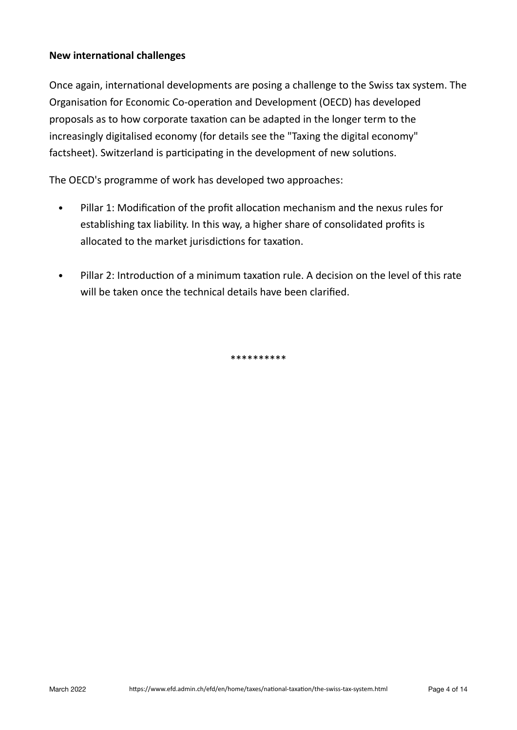## **New international challenges**

Once again, international developments are posing a challenge to the Swiss tax system. The Organisation for Economic Co-operation and Development (OECD) has developed proposals as to how corporate taxation can be adapted in the longer term to the increasingly digitalised economy (for details see the "Taxing the digital economy" factsheet). Switzerland is participating in the development of new solutions.

The OECD's programme of work has developed two approaches:

- Pillar 1: Modification of the profit allocation mechanism and the nexus rules for establishing tax liability. In this way, a higher share of consolidated profits is allocated to the market jurisdictions for taxation.
- Pillar 2: Introduction of a minimum taxation rule. A decision on the level of this rate will be taken once the technical details have been clarified.

\*\*\*\*\*\*\*\*\*\*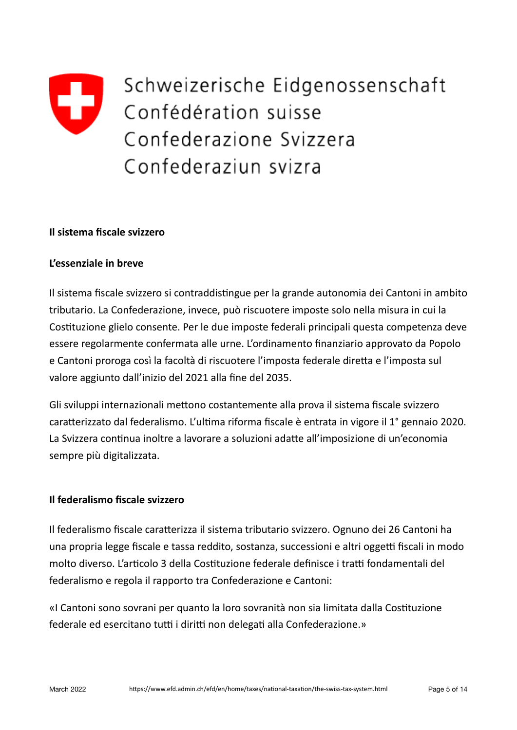

Schweizerische Eidgenossenschaft Confédération suisse Confederazione Svizzera Confederaziun svizra

#### **Il sistema fiscale svizzero**

#### **L'essenziale in breve**

Il sistema fiscale svizzero si contraddistingue per la grande autonomia dei Cantoni in ambito tributario. La Confederazione, invece, può riscuotere imposte solo nella misura in cui la Costituzione glielo consente. Per le due imposte federali principali questa competenza deve essere regolarmente confermata alle urne. L'ordinamento finanziario approvato da Popolo e Cantoni proroga così la facoltà di riscuotere l'imposta federale diretta e l'imposta sul valore aggiunto dall'inizio del 2021 alla fine del 2035.

Gli sviluppi internazionali mettono costantemente alla prova il sistema fiscale svizzero caratterizzato dal federalismo. L'ultima riforma fiscale è entrata in vigore il 1° gennaio 2020. La Svizzera continua inoltre a lavorare a soluzioni adatte all'imposizione di un'economia sempre più digitalizzata.

#### **Il federalismo fiscale svizzero**

Il federalismo fiscale caratterizza il sistema tributario svizzero. Ognuno dei 26 Cantoni ha una propria legge fiscale e tassa reddito, sostanza, successioni e altri oggetti fiscali in modo molto diverso. L'articolo 3 della Costituzione federale definisce i tratti fondamentali del federalismo e regola il rapporto tra Confederazione e Cantoni:

«I Cantoni sono sovrani per quanto la loro sovranità non sia limitata dalla Costituzione federale ed esercitano tutti i diritti non delegati alla Confederazione.»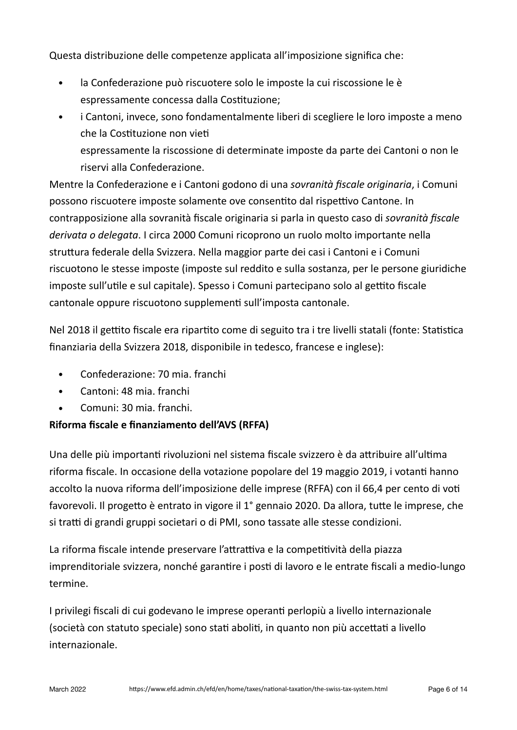Questa distribuzione delle competenze applicata all'imposizione significa che:

- la Confederazione può riscuotere solo le imposte la cui riscossione le è espressamente concessa dalla Costituzione;
- i Cantoni, invece, sono fondamentalmente liberi di scegliere le loro imposte a meno che la Costituzione non vieti espressamente la riscossione di determinate imposte da parte dei Cantoni o non le riservi alla Confederazione.

Mentre la Confederazione e i Cantoni godono di una *sovranità fiscale originaria*, i Comuni possono riscuotere imposte solamente ove consentito dal rispettivo Cantone. In contrapposizione alla sovranità fiscale originaria si parla in questo caso di *sovranità fiscale* derivata o delegata. I circa 2000 Comuni ricoprono un ruolo molto importante nella struttura federale della Svizzera. Nella maggior parte dei casi i Cantoni e i Comuni riscuotono le stesse imposte (imposte sul reddito e sulla sostanza, per le persone giuridiche imposte sull'utile e sul capitale). Spesso i Comuni partecipano solo al gettito fiscale cantonale oppure riscuotono supplementi sull'imposta cantonale.

Nel 2018 il gettito fiscale era ripartito come di seguito tra i tre livelli statali (fonte: Statistica finanziaria della Svizzera 2018, disponibile in tedesco, francese e inglese):

- Confederazione: 70 mia. franchi
- Cantoni: 48 mia. franchi
- Comuni: 30 mia. franchi.

# **Riforma fiscale e finanziamento dell'AVS (RFFA)**

Una delle più importanti rivoluzioni nel sistema fiscale svizzero è da attribuire all'ultima riforma fiscale. In occasione della votazione popolare del 19 maggio 2019, i votanti hanno accolto la nuova riforma dell'imposizione delle imprese (RFFA) con il 66,4 per cento di voti favorevoli. Il progetto è entrato in vigore il 1<sup>°</sup> gennaio 2020. Da allora, tutte le imprese, che si tratti di grandi gruppi societari o di PMI, sono tassate alle stesse condizioni.

La riforma fiscale intende preservare l'attrattiva e la competitività della piazza imprenditoriale svizzera, nonché garantire i posti di lavoro e le entrate fiscali a medio-lungo termine.

I privilegi fiscali di cui godevano le imprese operanti perlopiù a livello internazionale (società con statuto speciale) sono stati aboliti, in quanto non più accettati a livello internazionale.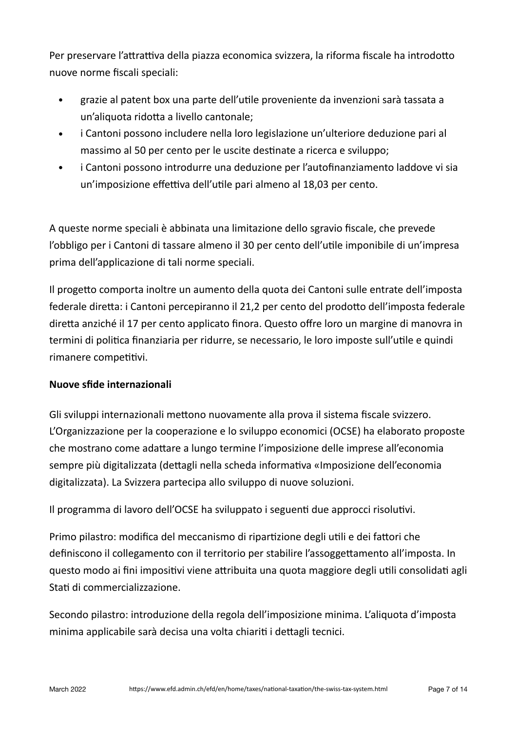Per preservare l'attrattiva della piazza economica svizzera, la riforma fiscale ha introdotto nuove norme fiscali speciali:

- grazie al patent box una parte dell'utile proveniente da invenzioni sarà tassata a un'aliquota ridotta a livello cantonale;
- i Cantoni possono includere nella loro legislazione un'ulteriore deduzione pari al massimo al 50 per cento per le uscite destinate a ricerca e sviluppo;
- i Cantoni possono introdurre una deduzione per l'autofinanziamento laddove vi sia un'imposizione effettiva dell'utile pari almeno al 18,03 per cento.

A queste norme speciali è abbinata una limitazione dello sgravio fiscale, che prevede l'obbligo per i Cantoni di tassare almeno il 30 per cento dell'utile imponibile di un'impresa prima dell'applicazione di tali norme speciali.

Il progetto comporta inoltre un aumento della quota dei Cantoni sulle entrate dell'imposta federale diretta: i Cantoni percepiranno il 21,2 per cento del prodotto dell'imposta federale diretta anziché il 17 per cento applicato finora. Questo offre loro un margine di manovra in termini di politica finanziaria per ridurre, se necessario, le loro imposte sull'utile e quindi rimanere competitivi.

# **Nuove sfide internazionali**

Gli sviluppi internazionali mettono nuovamente alla prova il sistema fiscale svizzero. L'Organizzazione per la cooperazione e lo sviluppo economici (OCSE) ha elaborato proposte che mostrano come adattare a lungo termine l'imposizione delle imprese all'economia sempre più digitalizzata (dettagli nella scheda informativa «Imposizione dell'economia digitalizzata). La Svizzera partecipa allo sviluppo di nuove soluzioni.

Il programma di lavoro dell'OCSE ha sviluppato i seguenti due approcci risolutivi.

Primo pilastro: modifica del meccanismo di ripartizione degli utili e dei fattori che definiscono il collegamento con il territorio per stabilire l'assoggettamento all'imposta. In questo modo ai fini impositivi viene attribuita una quota maggiore degli utili consolidati agli Stati di commercializzazione.

Secondo pilastro: introduzione della regola dell'imposizione minima. L'aliquota d'imposta minima applicabile sarà decisa una volta chiariti i dettagli tecnici.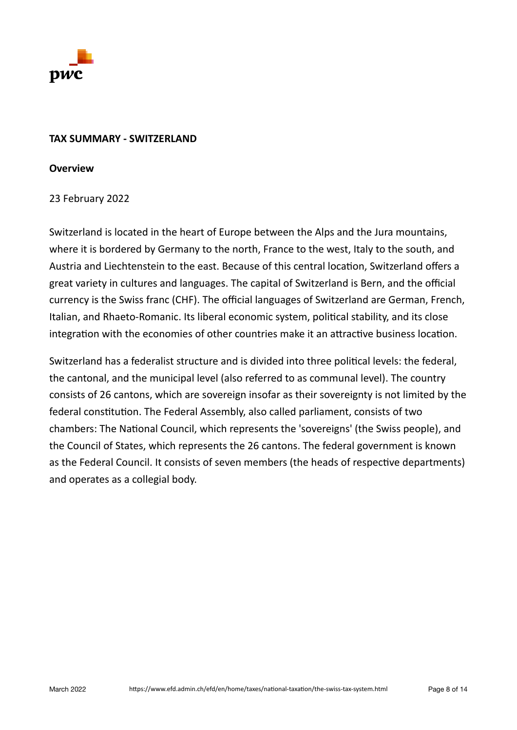

### **TAX SUMMARY - SWITZERLAND**

#### **Overview**

## 23 February 2022

Switzerland is located in the heart of Europe between the Alps and the Jura mountains, where it is bordered by Germany to the north, France to the west, Italy to the south, and Austria and Liechtenstein to the east. Because of this central location, Switzerland offers a great variety in cultures and languages. The capital of Switzerland is Bern, and the official currency is the Swiss franc (CHF). The official languages of Switzerland are German, French, Italian, and Rhaeto-Romanic. Its liberal economic system, political stability, and its close integration with the economies of other countries make it an attractive business location.

Switzerland has a federalist structure and is divided into three political levels: the federal, the cantonal, and the municipal level (also referred to as communal level). The country consists of 26 cantons, which are sovereign insofar as their sovereignty is not limited by the federal constitution. The Federal Assembly, also called parliament, consists of two chambers: The National Council, which represents the 'sovereigns' (the Swiss people), and the Council of States, which represents the 26 cantons. The federal government is known as the Federal Council. It consists of seven members (the heads of respective departments) and operates as a collegial body.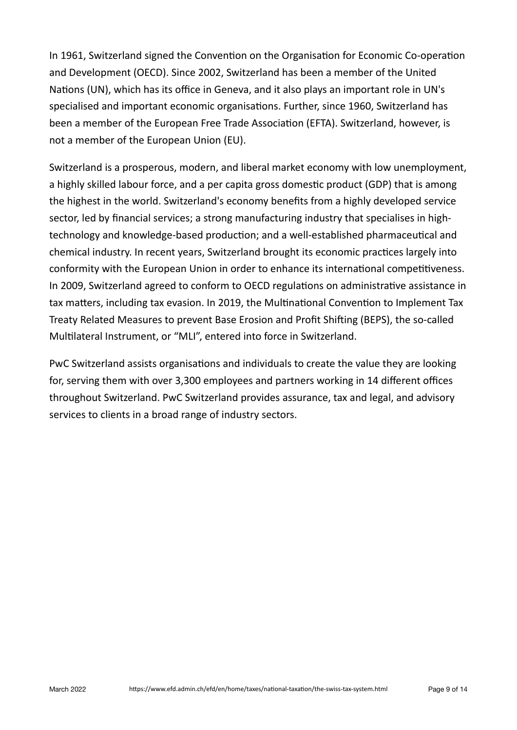In 1961, Switzerland signed the Convention on the Organisation for Economic Co-operation and Development (OECD). Since 2002, Switzerland has been a member of the United Nations (UN), which has its office in Geneva, and it also plays an important role in UN's specialised and important economic organisations. Further, since 1960, Switzerland has been a member of the European Free Trade Association (EFTA). Switzerland, however, is not a member of the European Union (EU).

Switzerland is a prosperous, modern, and liberal market economy with low unemployment, a highly skilled labour force, and a per capita gross domestic product (GDP) that is among the highest in the world. Switzerland's economy benefits from a highly developed service sector, led by financial services; a strong manufacturing industry that specialises in hightechnology and knowledge-based production; and a well-established pharmaceutical and chemical industry. In recent years, Switzerland brought its economic practices largely into conformity with the European Union in order to enhance its international competitiveness. In 2009, Switzerland agreed to conform to OECD regulations on administrative assistance in tax matters, including tax evasion. In 2019, the Multinational Convention to Implement Tax Treaty Related Measures to prevent Base Erosion and Profit Shifting (BEPS), the so-called Multilateral Instrument, or "MLI", entered into force in Switzerland.

PwC Switzerland assists organisations and individuals to create the value they are looking for, serving them with over 3,300 employees and partners working in 14 different offices throughout Switzerland. PwC Switzerland provides assurance, tax and legal, and advisory services to clients in a broad range of industry sectors.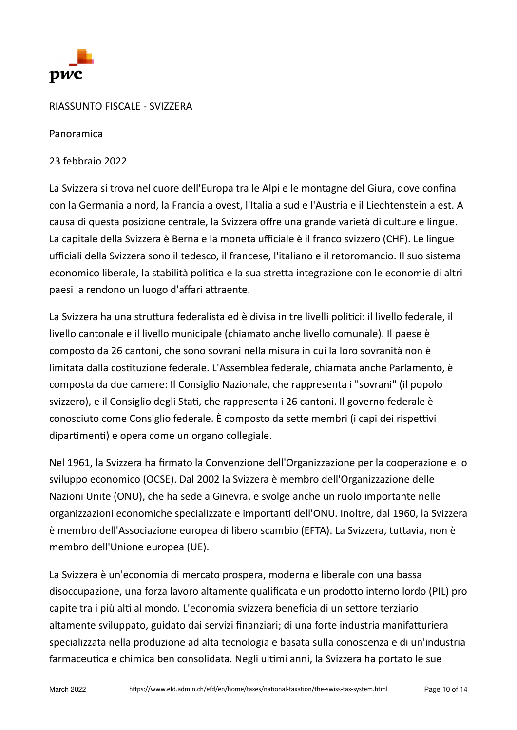

## RIASSUNTO FISCALE - SVIZZERA

Panoramica

23 febbraio 2022

La Svizzera si trova nel cuore dell'Europa tra le Alpi e le montagne del Giura, dove confina con la Germania a nord, la Francia a ovest, l'Italia a sud e l'Austria e il Liechtenstein a est. A causa di questa posizione centrale, la Svizzera offre una grande varietà di culture e lingue. La capitale della Svizzera è Berna e la moneta ufficiale è il franco svizzero (CHF). Le lingue ufficiali della Svizzera sono il tedesco, il francese, l'italiano e il retoromancio. Il suo sistema economico liberale, la stabilità politica e la sua stretta integrazione con le economie di altri paesi la rendono un luogo d'affari attraente.

La Svizzera ha una struttura federalista ed è divisa in tre livelli politici: il livello federale, il livello cantonale e il livello municipale (chiamato anche livello comunale). Il paese è composto da 26 cantoni, che sono sovrani nella misura in cui la loro sovranità non è limitata dalla costituzione federale. L'Assemblea federale, chiamata anche Parlamento, è composta da due camere: Il Consiglio Nazionale, che rappresenta i "sovrani" (il popolo svizzero), e il Consiglio degli Stati, che rappresenta i 26 cantoni. Il governo federale è conosciuto come Consiglio federale. È composto da sette membri (i capi dei rispettivi dipartimenti) e opera come un organo collegiale.

Nel 1961, la Svizzera ha firmato la Convenzione dell'Organizzazione per la cooperazione e lo sviluppo economico (OCSE). Dal 2002 la Svizzera è membro dell'Organizzazione delle Nazioni Unite (ONU), che ha sede a Ginevra, e svolge anche un ruolo importante nelle organizzazioni economiche specializzate e importanti dell'ONU. Inoltre, dal 1960, la Svizzera è membro dell'Associazione europea di libero scambio (EFTA). La Svizzera, tuttavia, non è membro dell'Unione europea (UE).

La Svizzera è un'economia di mercato prospera, moderna e liberale con una bassa disoccupazione, una forza lavoro altamente qualificata e un prodotto interno lordo (PIL) pro capite tra i più alti al mondo. L'economia svizzera beneficia di un settore terziario altamente sviluppato, guidato dai servizi finanziari; di una forte industria manifatturiera specializzata nella produzione ad alta tecnologia e basata sulla conoscenza e di un'industria farmaceutica e chimica ben consolidata. Negli ultimi anni, la Svizzera ha portato le sue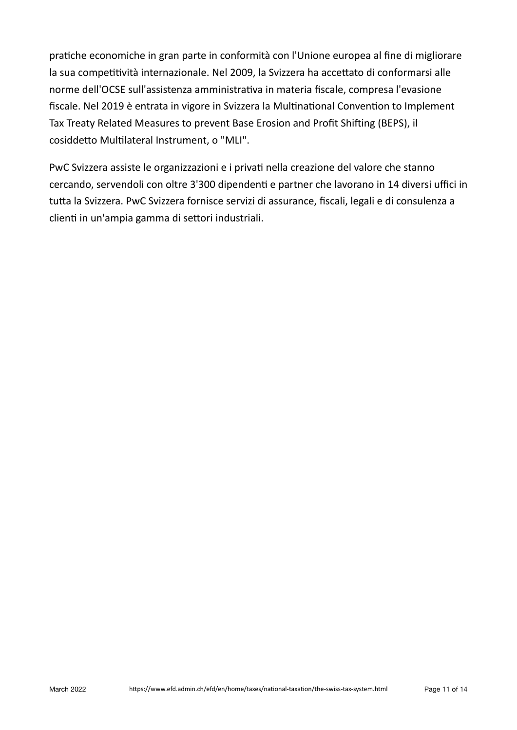pratiche economiche in gran parte in conformità con l'Unione europea al fine di migliorare la sua competitività internazionale. Nel 2009, la Svizzera ha accettato di conformarsi alle norme dell'OCSE sull'assistenza amministrativa in materia fiscale, compresa l'evasione fiscale. Nel 2019 è entrata in vigore in Svizzera la Multinational Convention to Implement Tax Treaty Related Measures to prevent Base Erosion and Profit Shifting (BEPS), il cosiddetto Multilateral Instrument, o "MLI".

PwC Svizzera assiste le organizzazioni e i privati nella creazione del valore che stanno cercando, servendoli con oltre 3'300 dipendenti e partner che lavorano in 14 diversi uffici in tutta la Svizzera. PwC Svizzera fornisce servizi di assurance, fiscali, legali e di consulenza a clienti in un'ampia gamma di settori industriali.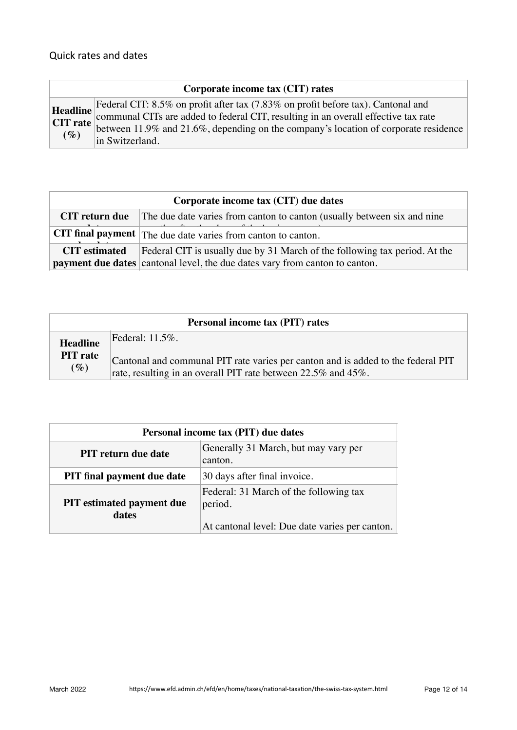| Corporate income tax (CIT) rates |  |  |  |  |
|----------------------------------|--|--|--|--|
|----------------------------------|--|--|--|--|

|        | Headline Federal CIT: 8.5% on profit after tax (7.83% on profit before tax). Cantonal and  |
|--------|--------------------------------------------------------------------------------------------|
|        | <b>Example 11.9%</b> and 21.6%, depending on the company's location of corporate residence |
| $(\%)$ |                                                                                            |
|        | in Switzerland.                                                                            |

| Corporate income tax (CIT) due dates |                                                                                                                                                                  |  |
|--------------------------------------|------------------------------------------------------------------------------------------------------------------------------------------------------------------|--|
| <b>CIT</b> return due                | The due date varies from canton to canton (usually between six and nine                                                                                          |  |
|                                      | <b>CIT final payment</b> The due date varies from canton to canton.                                                                                              |  |
| <b>CIT</b> estimated                 | Federal CIT is usually due by 31 March of the following tax period. At the<br><b>payment due dates</b> cantonal level, the due dates vary from canton to canton. |  |

| <b>Personal income tax (PIT) rates</b> |                                                                                                                                                   |  |
|----------------------------------------|---------------------------------------------------------------------------------------------------------------------------------------------------|--|
| <b>Headline</b>                        | Federal: $11.5\%$ .                                                                                                                               |  |
| <b>PIT</b> rate<br>$(\%)$              | Cantonal and communal PIT rate varies per canton and is added to the federal PIT<br>rate, resulting in an overall PIT rate between 22.5% and 45%. |  |

| Personal income tax (PIT) due dates       |                                                                                                     |  |
|-------------------------------------------|-----------------------------------------------------------------------------------------------------|--|
| <b>PIT</b> return due date                | Generally 31 March, but may vary per<br>canton.                                                     |  |
| <b>PIT</b> final payment due date         | 30 days after final invoice.                                                                        |  |
| <b>PIT</b> estimated payment due<br>dates | Federal: 31 March of the following tax<br>period.<br>At cantonal level: Due date varies per canton. |  |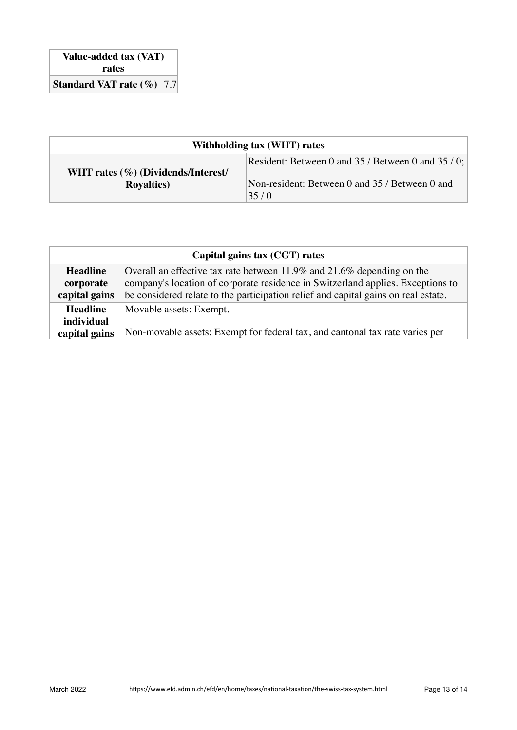| Withholding tax (WHT) rates                              |                                                                                                              |  |
|----------------------------------------------------------|--------------------------------------------------------------------------------------------------------------|--|
| WHT rates (%) (Dividends/Interest/<br><b>Royalties</b> ) | Resident: Between 0 and 35 / Between 0 and 35 / 0;<br>Non-resident: Between 0 and 35 / Between 0 and<br>35/0 |  |

| Capital gains tax (CGT) rates |                                                                                    |  |
|-------------------------------|------------------------------------------------------------------------------------|--|
| <b>Headline</b>               | Overall an effective tax rate between 11.9% and 21.6% depending on the             |  |
| corporate                     | company's location of corporate residence in Switzerland applies. Exceptions to    |  |
| capital gains                 | be considered relate to the participation relief and capital gains on real estate. |  |
| <b>Headline</b>               | Movable assets: Exempt.                                                            |  |
| <i>individual</i>             |                                                                                    |  |
| capital gains                 | Non-movable assets: Exempt for federal tax, and cantonal tax rate varies per       |  |